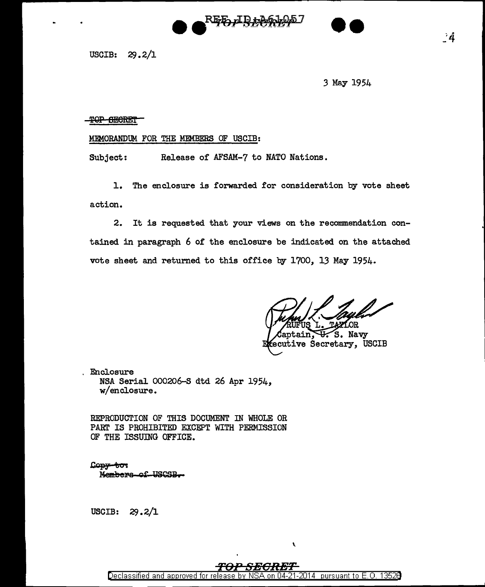## <del>RED, IR, 20</del>

3 May 1954

--

## -TOP SECRET

## MEMORANDUM FOR THE MEMBERS OF USCIB:

Subject: Release of AFSAM-7 to NATO Nations.

1. The enclosure is forwarded for consideration by vote sheet action.

2. It is requested that your views on the recommendation contained in paragraph 6 of the enclosure be indicated on the attached vote sheet and returned to this office by 1700, 13 May 1954.

.OR FUS

S. Navy otain. ecutive Secretary, USCIB

Enclosure NSA Serial 000206-S dtd 26 Apr 1954, w/enclosure.

REPRODUCTION OF THIS DOCUMENT IN WHOLE OR PART IS PROHIBITED EXCEPT WITH PERMISSION OF THE ISSUJNG OFFICE.

 $L$  $\frac{1}{2}$  $\frac{1}{2}$  $\frac{1}{2}$  $\frac{1}{2}$  $\frac{1}{2}$ Members-of-USCSB.

USCIB:  $29.2/1$ 

 $\lambda$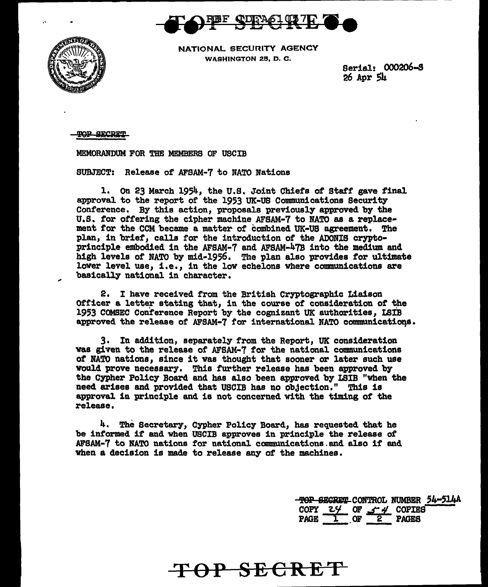



NATIONAL SECURITY AGENCY WASHINGTON 25, D. C.

Serial! 000206-S  $26$  Apr  $5h$ 

**POP GECRET** 

MEMORANDUM FOR THE MEMBERS OF USCIB

SUBJECT: Release *ot* AFSAM-7 to NATO Nations

1. On 23 March 1954, the U.S. Joint Chiefs of Staff gave final approval to the report of the 1953 UK-US Communications Security Conference. By this action, proposals previously approved by the U.S. for offering the cipher machine AFSAM-7 to NATO as a replacement for the CCM became a matter of combined UK-US agreement. The plan, in brief, calls for the introduction of the ADONIS cryptoprinciple embodied in the AFSAM-7 and AFSAM-47B into the medium and high levels of NATO by mid-1956. The plan also provides for ultimate lower level use, i.e., in the low echelons where communications are basically national in character.

2. I have received from the British Cryptographic Liaison Officer a letter stating that, in the course of consideration of the 1953 COMSEC Conference Report by the cognizant UK authorities, LSIB approved the release of AFSAM-7 for international NATO communications.

3. In addition, separately from the Report, UK consideration was given to the release of AFSAM·7 for the national communications *ot* NATO nations, since it was thought that sooner or later such use would prove necessary. This further release has been approved by the Cypher Policy Board and has also been approved by LSIB "when the need arises and provided that USCIB has no objection." This is approval in principle and is not concerned with the timing of the release.

4. The Secretary, Cypher Policy Board, has requested that he be informed if and when USCIB approves in principle the release of AFSAM-7 to NATO nations for national communications.and also if end when a decision is made to release any of the machines.

**TOP SECRET** 

-TOP SECRET CONTROL NUMBER 54-514A COPY  $24$  OF  $44$  COPIES PAGE  $\frac{1}{2}$  or  $\frac{2}{2}$  PAGES